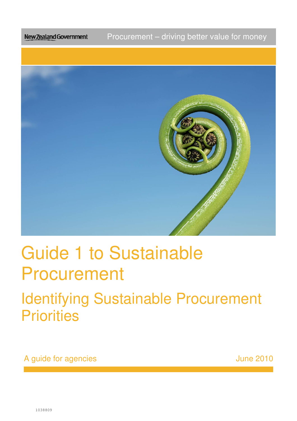Procurement – driving better value for money **New Zealand Government** 



# Guide 1 to Sustainable Procurement

## **Identifying Sustainable Procurement Priorities**

A guide for agencies and the set of the set of the set of the set of the set of the set of the set of the set o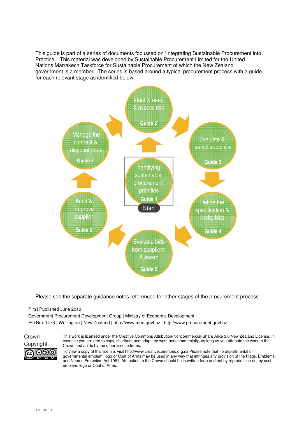This guide is part of a series of documents focussed on 'Integrating Sustainable Procurement into Practice'. This material was developed by Sustainable Procurement Limited for the United Nations Marrakech Taskforce for Sustainable Procurement of which the New Zealand government is a member. The series is based around a typical procurement process with a guide for each relevant stage as identified below:



Please see the separate guidance notes referenced for other stages of the procurement process.

#### First Published June 2010

Government Procurement Development Group | Ministry of Economic Development PO Box 1473 | Wellington | New Zealand | http://www.med.govt.nz | http://www.procurement.govt.nz



This work is licensed under the Creative Commons Attribution-Noncommercial-Share Alike 3.0 New Zealand License. In essence you are free to copy, distribute and adapt the work noncommercially, as long as you attribute the work to the Copyright Crown and abide by the other licence terms.

> To view a copy of this license, visit http://www.creativecommons.org.nz Please note that no departmental or governmental emblem, logo or Coat of Arms may be used in any way that infringes any provision of the Flags, Emblems, and Names Protection Act 1981. Attribution to the Crown should be in written form and not by reproduction of any such emblem, logo or Coat of Arms.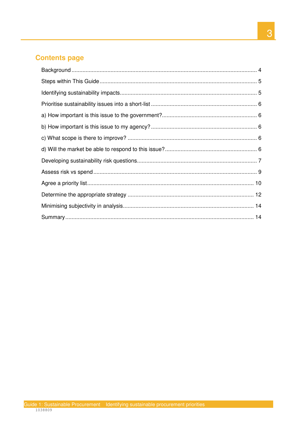## **Contents page**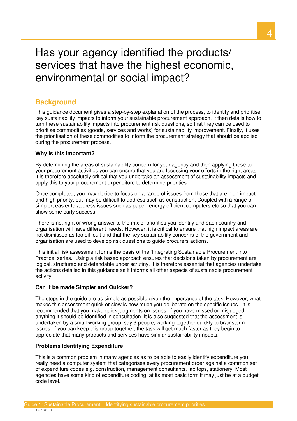## Has your agency identified the products/ services that have the highest economic, environmental or social impact?

## **Background**

 This guidance document gives a step-by-step explanation of the process, to identify and prioritise key sustainability impacts to inform your sustainable procurement approach. It then details how to turn these sustainability impacts into procurement risk questions, so that they can be used to prioritise commodities (goods, services and works) for sustainability improvement. Finally, it uses the prioritisation of these commodities to inform the procurement strategy that should be applied during the procurement process.

#### **Why is this Important?**

 By determining the areas of sustainability concern for your agency and then applying these to your procurement activities you can ensure that you are focussing your efforts in the right areas. It is therefore absolutely critical that you undertake an assessment of sustainability impacts and apply this to your procurement expenditure to determine priorities.

 Once completed, you may decide to focus on a range of issues from those that are high impact and high priority, but may be difficult to address such as construction. Coupled with a range of simpler, easier to address issues such as paper, energy efficient computers etc so that you can show some early success.

 There is no, right or wrong answer to the mix of priorities you identify and each country and organisation will have different needs. However, it is critical to ensure that high impact areas are not dismissed as too difficult and that the key sustainability concerns of the government and organisation are used to develop risk questions to guide procurers actions.

 This initial risk assessment forms the basis of the 'Integrating Sustainable Procurement into Practice' series. Using a risk based approach ensures that decisions taken by procurement are logical, structured and defendable under scrutiny. It is therefore essential that agencies undertake the actions detailed in this guidance as it informs all other aspects of sustainable procurement activity.

#### **Can it be made Simpler and Quicker?**

 The steps in the guide are as simple as possible given the importance of the task. However, what makes this assessment quick or slow is how much you deliberate on the specific issues. It is recommended that you make quick judgments on issues. If you have missed or misjudged anything it should be identified in consultation. It is also suggested that the assessment is undertaken by a small working group, say 3 people, working together quickly to brainstorm issues. If you can keep this group together, the task will get much faster as they begin to appreciate that many products and services have similar sustainability impacts.

#### **Problems Identifying Expenditure**

 This is a common problem in many agencies as to be able to easily identify expenditure you really need a computer system that categorises every procurement order against a common set of expenditure codes e.g. construction, management consultants, lap tops, stationery. Most agencies have some kind of expenditure coding, at its most basic form it may just be at a budget code level.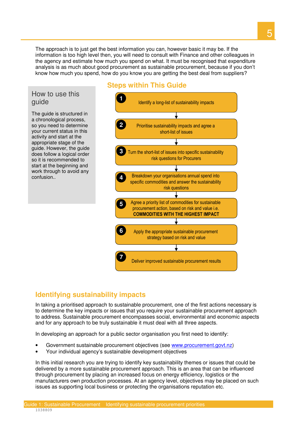The approach is to just get the best information you can, however basic it may be. If the information is too high level then, you will need to consult with Finance and other colleagues in the agency and estimate how much you spend on what. It must be recognised that expenditure analysis is as much about good procurement as sustainable procurement, because if you don't know how much you spend, how do you know you are getting the best deal from suppliers?

## How to use this guide

 The guide is structured in a chronological process, so you need to determine your current status in this activity and start at the appropriate stage of the guide. However, the guide does follow a logical order so it is recommended to start at the beginning and work through to avoid any confusion..

## **Steps within This Guide**



## **Identifying sustainability impacts**

 In taking a prioritised approach to sustainable procurement, one of the first actions necessary is to determine the key impacts or issues that you require your sustainable procurement approach to address. Sustainable procurement encompasses social, environmental and economic aspects and for any approach to be truly sustainable it must deal with all three aspects.

In developing an approach for a public sector organisation you first need to identify:

- Government sustainable procurement objectives (see www.procurement.govt.nz)
- Your individual agency's sustainable development objectives

 In this initial research you are trying to identify key sustainability themes or issues that could be delivered by a more sustainable procurement approach. This is an area that can be influenced through procurement by placing an increased focus on energy efficiency, logistics or the manufacturers own production processes. At an agency level, objectives may be placed on such issues as supporting local business or protecting the organisations reputation etc.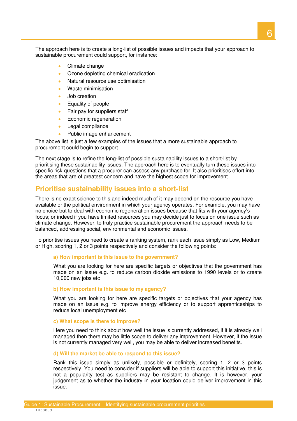The approach here is to create a long-list of possible issues and impacts that your approach to sustainable procurement could support, for instance:

- Climate change
- Ozone depleting chemical eradication
- Natural resource use optimisation
- Waste minimisation
- Job creation
- Equality of people
- Fair pay for suppliers staff
- Economic regeneration
- Legal compliance
- Public image enhancement

 The above list is just a few examples of the issues that a more sustainable approach to procurement could begin to support.

 The next stage is to refine the long-list of possible sustainability issues to a short-list by prioritising these sustainability issues. The approach here is to eventually turn these issues into specific risk questions that a procurer can assess any purchase for. It also prioritises effort into the areas that are of greatest concern and have the highest scope for improvement.

## **Prioritise sustainability issues into a short-list**

 There is no exact science to this and indeed much of it may depend on the resource you have available or the political environment in which your agency operates. For example, you may have no choice but to deal with economic regeneration issues because that fits with your agency's focus; or indeed if you have limited resources you may decide just to focus on one issue such as climate change. However, to truly practice sustainable procurement the approach needs to be balanced, addressing social, environmental and economic issues.

 To prioritise issues you need to create a ranking system, rank each issue simply as Low, Medium or High, scoring 1, 2 or 3 points respectively and consider the following points:

 **a) How important is this issue to the government?** 

 What you are looking for here are specific targets or objectives that the government has made on an issue e.g. to reduce carbon dioxide emissions to 1990 levels or to create 10,000 new jobs etc

#### **b) How important is this issue to my agency?**

 What you are looking for here are specific targets or objectives that your agency has made on an issue e.g. to improve energy efficiency or to support apprenticeships to reduce local unemployment etc

#### **c) What scope is there to improve?**

 Here you need to think about how well the issue is currently addressed, if it is already well managed then there may be little scope to deliver any improvement. However, if the issue is not currently managed very well, you may be able to deliver increased benefits.

#### **d) Will the market be able to respond to this issue?**

 Rank this issue simply as unlikely, possible or definitely, scoring 1, 2 or 3 points respectively. You need to consider if suppliers will be able to support this initiative, this is not a popularity test as suppliers may be resistant to change. It is however, your judgement as to whether the industry in your location could deliver improvement in this issue.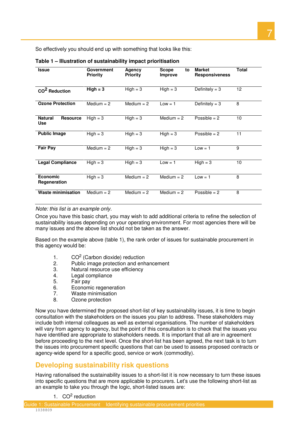So effectively you should end up with something that looks like this:

| <b>Issue</b>                                    | Government<br><b>Priority</b> | Agency<br><b>Priority</b> | <b>Scope</b><br>to<br><b>Improve</b> | <b>Market</b><br><b>Responsiveness</b> | Total |
|-------------------------------------------------|-------------------------------|---------------------------|--------------------------------------|----------------------------------------|-------|
| CO <sup>2</sup> Reduction                       | $High = 3$                    | $High = 3$                | $High = 3$                           | Definitely = $3$                       | 12    |
| <b>Ozone Protection</b>                         | Medium $= 2$                  | Medium $= 2$              | $Low = 1$                            | Definitely $=$ 3                       | 8     |
| <b>Natural</b><br><b>Resource</b><br><b>Use</b> | $High = 3$                    | $High = 3$                | Medium $= 2$                         | Possible $= 2$                         | 10    |
| <b>Public Image</b>                             | $High = 3$                    | $High = 3$                | $High = 3$                           | Possible $= 2$                         | 11    |
| <b>Fair Pay</b>                                 | Medium $= 2$                  | $High = 3$                | $High = 3$                           | $Low = 1$                              | 9     |
| <b>Legal Compliance</b>                         | $High = 3$                    | $High = 3$                | $Low = 1$                            | $High = 3$                             | 10    |
| <b>Economic</b><br><b>Regeneration</b>          | $High = 3$                    | Medium $= 2$              | Medium $= 2$                         | $Low = 1$                              | 8     |
| <b>Waste minimisation</b>                       | Medium $= 2$                  | Medium $= 2$              | Medium $= 2$                         | Possible $= 2$                         | 8     |

#### **Table 1 – Illustration of sustainability impact prioritisation**

#### Note: this list is an example only.

 Once you have this basic chart, you may wish to add additional criteria to refine the selection of sustainability issues depending on your operating environment. For most agencies there will be many issues and the above list should not be taken as the answer.

 Based on the example above (table 1), the rank order of issues for sustainable procurement in this agency would be:

- 1.  $CO<sup>2</sup>$  (Carbon dioxide) reduction
- 2. Public image protection and enhancement
- 3. Natural resource use efficiency
- $\overline{4}$ Legal compliance
- 5. Fair pay
- 6. Economic regeneration<br>7 Waste minimisation
- 7. Waste minimisation<br>8. Ozone protection
- 8. Ozone protection

 Now you have determined the proposed short-list of key sustainability issues, it is time to begin consultation with the stakeholders on the issues you plan to address. These stakeholders may include both internal colleagues as well as external organisations. The number of stakeholders will vary from agency to agency, but the point of this consultation is to check that the issues you have identified are appropriate to stakeholders needs. It is important that all are in agreement before proceeding to the next level. Once the short-list has been agreed, the next task is to turn the issues into procurement specific questions that can be used to assess proposed contracts or agency-wide spend for a specific good, service or work (commodity).

## **Developing sustainability risk questions**

 Having rationalised the sustainability issues to a short-list it is now necessary to turn these issues into specific questions that are more applicable to procurers. Let's use the following short-list as an example to take you through the logic, short-listed issues are:

1. CO<sup>2</sup> reduction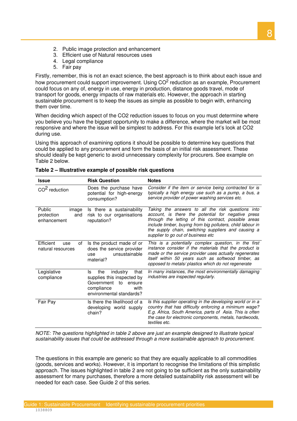- 2. Public image protection and enhancement
- 3. Efficient use of Natural resources uses
- 4. Legal compliance
- 5. Fair pay

 Firstly, remember, this is not an exact science, the best approach is to think about each issue and how procurement could support improvement. Using  $CO<sup>2</sup>$  reduction as an example, Procurement could focus on any of, energy in use, energy in production, distance goods travel, mode of transport for goods, energy impacts of raw materials etc. However, the approach in starting sustainable procurement is to keep the issues as simple as possible to begin with, enhancing them over time.

 When deciding which aspect of the CO2 reduction issues to focus on you must determine where you believe you have the biggest opportunity to make a difference, where the market will be most responsive and where the issue will be simplest to address. For this example let's look at CO2 during use.

 Using this approach of examining options it should be possible to determine key questions that could be applied to any procurement and form the basis of an initial risk assessment. These should ideally be kept generic to avoid unnecessary complexity for procurers. See example on Table 2 below.

| <b>Issue</b>                                        | <b>Risk Question</b>                                                                                                                         | <b>Notes</b>                                                                                                                                                                                                                                                                                                               |
|-----------------------------------------------------|----------------------------------------------------------------------------------------------------------------------------------------------|----------------------------------------------------------------------------------------------------------------------------------------------------------------------------------------------------------------------------------------------------------------------------------------------------------------------------|
| $CO2$ reduction                                     | Does the purchase have<br>potential for high-energy<br>consumption?                                                                          | Consider if the item or service being contracted for is<br>typically a high energy use such as a pump, a bus, a<br>service provider of power washing services etc.                                                                                                                                                         |
| Public<br>image<br>protection<br>and<br>enhancement | Is there a sustainability<br>risk to our organisations<br>reputation?                                                                        | Taking the answers to all the risk questions into<br>account, is there the potential for negative press<br>through the letting of this contract, possible areas<br>include timber, buying from big polluters, child labour in<br>the supply chain, switching suppliers and causing a<br>supplier to go out of business etc |
| Efficient<br>of<br>use<br>natural resources         | Is the product made of or<br>does the service provider<br>unsustainable<br>use<br>material?                                                  | This is a potentially complex question, in the first<br>instance consider if the materials that the product is<br>made or the service provider uses actually regenerates<br>itself within 50 years such as softwood timber, as<br>opposed to metals/ plastics which do not regenerate                                      |
| Legislative<br>compliance                           | industry<br>that<br>ls.<br>the<br>supplies this inspected by<br>Government<br>to<br>ensure<br>compliance<br>with<br>environmental standards? | In many instances, the most environmentally damaging<br>industries are inspected regularly.                                                                                                                                                                                                                                |
| Fair Pay                                            | Is there the likelihood of a<br>developing world supply<br>chain?                                                                            | Is this supplier operating in the developing world or in a<br>country that has difficulty enforcing a minimum wage?<br>E.g. Africa, South America, parts of Asia. This is often<br>the case for electronic components, metals, hardwoods,<br>textiles etc.                                                                 |

| Table 2 – Illustrative example of possible risk questions |  |  |
|-----------------------------------------------------------|--|--|
|-----------------------------------------------------------|--|--|

 NOTE: The questions highlighted in table 2 above are just an example designed to illustrate typical sustainability issues that could be addressed through a more sustainable approach to procurement.

 The questions in this example are generic so that they are equally applicable to all commodities (goods, services and works). However, it is important to recognise the limitations of this simplistic approach. The issues highlighted in table 2 are not going to be sufficient as the only sustainability assessment for many purchases, therefore a more detailed sustainability risk assessment will be needed for each case. See Guide 2 of this series.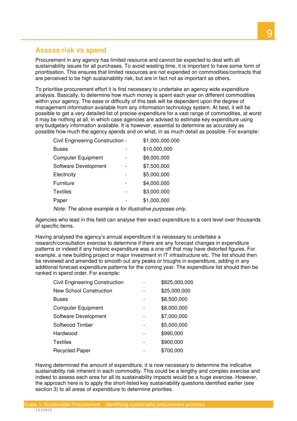## **Assess risk vs spend**

 Procurement in any agency has limited resource and cannot be expected to deal with all sustainability issues for all purchases. To avoid wasting time, it is important to have some form of prioritisation. This ensures that limited resources are not expended on commodities/contracts that are perceived to be high sustainability risk, but are in fact not as important as others.

 To prioritise procurement effort it is first necessary to undertake an agency wide expenditure analysis. Basically, to determine how much money is spent each year on different commodities within your agency. The ease or difficulty of this task will be dependent upon the degree of management information available from any information technology system. At best, it will be possible to get a very detailed list of precise expenditure for a vast range of commodities, at worst it may be nothing at all, in which case agencies are advised to estimate key expenditure using any budgetary information available. It is however, essential to determine as accurately as possible how much the agency spends and on what, in as much detail as possible. For example:

| Civil Engineering Construction - |   | \$1,000,000,000 |
|----------------------------------|---|-----------------|
| Buses                            |   | \$10,000,000    |
| Computer Equipment               |   | \$8,000,000     |
| Software Development             | - | \$7,500,000     |
| Electricity                      |   | \$5,000,000     |
| Furniture                        |   | \$4,000,000     |
| Textiles                         |   | \$3,000,000     |
| Paper                            |   | \$1,000,000     |
|                                  |   |                 |

Note: The above example is for illustrative purposes only.

 Agencies who lead in this field can analyse their exact expenditure to a cent level over thousands of specific items.

 Having analysed the agency's annual expenditure it is necessary to undertake a research/consultation exercise to determine if there are any forecast changes in expenditure patterns or indeed if any historic expenditure was a one off that may have distorted figures. For example, a new building project or major investment in IT infrastructure etc. The list should then be reviewed and amended to smooth out any peaks or troughs in expenditure, adding in any additional forecast expenditure patterns for the coming year. The expenditure list should then be ranked in spend order. For example:

| <b>Civil Engineering Construction</b> |   | \$825,000,000 |
|---------------------------------------|---|---------------|
| <b>New School Construction</b>        |   | \$25,000,000  |
| <b>Buses</b>                          |   | \$8,500,000   |
| <b>Computer Equipment</b>             |   | \$8,000,000   |
| Software Development                  | - | \$7,000,000   |
| Softwood Timber                       |   | \$5,000,000   |
| Hardwood                              |   | \$990,000     |
| <b>Textiles</b>                       |   | \$900,000     |
| <b>Recycled Paper</b>                 |   | \$700,000     |

 Having determined the amount of expenditure, it is now necessary to determine the indicative sustainability risk inherent in each commodity. This could be a lengthy and complex exercise and indeed to assess each area for all its sustainability impacts would be a huge exercise. However, the approach here is to apply the short-listed key sustainability questions identified earlier (see section 3) to all areas of expenditure to determine priorities.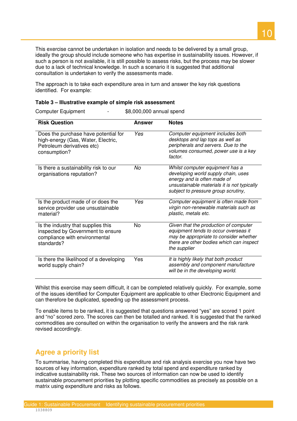This exercise cannot be undertaken in isolation and needs to be delivered by a small group, ideally the group should include someone who has expertise in sustainability issues. However, if such a person is not available, it is still possible to assess risks, but the process may be slower due to a lack of technical knowledge. In such a scenario it is suggested that additional consultation is undertaken to verify the assessments made.

 The approach is to take each expenditure area in turn and answer the key risk questions identified. For example:

#### **Table 3 – Illustrative example of simple risk assessment**

| <b>Risk Question</b>                                                                                                     | Answer    | <b>Notes</b>                                                                                                                                                                                |
|--------------------------------------------------------------------------------------------------------------------------|-----------|---------------------------------------------------------------------------------------------------------------------------------------------------------------------------------------------|
| Does the purchase have potential for<br>high-energy (Gas, Water, Electric,<br>Petroleum derivatives etc)<br>consumption? | Yes       | Computer equipment includes both<br>desktops and lap tops as well as<br>peripherals and servers. Due to the<br>volumes consumed, power use is a key<br>factor.                              |
| Is there a sustainability risk to our<br>organisations reputation?                                                       | Nο        | Whilst computer equipment has a<br>developing world supply chain, uses<br>energy and is often made of<br>unsustainable materials it is not typically<br>subject to pressure group scrutiny, |
| Is the product made of or does the<br>service provider use unsustainable<br>material?                                    | Yes       | Computer equipment is often made from<br>virgin non-renewable materials such as<br>plastic, metals etc.                                                                                     |
| Is the industry that supplies this<br>inspected by Government to ensure<br>compliance with environmental<br>standards?   | <b>No</b> | Given that the production of computer<br>equipment tends to occur overseas it<br>may be appropriate to consider whether<br>there are other bodies which can inspect<br>the supplier         |
| Is there the likelihood of a developing<br>world supply chain?                                                           | Yes       | It is highly likely that both product<br>assembly and component manufacture<br>will be in the developing world.                                                                             |

**Computer Equipment**  $$8,000,000$  annual spend

 Whilst this exercise may seem difficult, it can be completed relatively quickly. For example, some of the issues identified for Computer Equipment are applicable to other Electronic Equipment and can therefore be duplicated, speeding up the assessment process.

 To enable items to be ranked, it is suggested that questions answered "yes" are scored 1 point and "no" scored zero. The scores can then be totalled and ranked. It is suggested that the ranked commodities are consulted on within the organisation to verify the answers and the risk rank revised accordingly.

## **Agree a priority list**

 To summarise, having completed this expenditure and risk analysis exercise you now have two sources of key information, expenditure ranked by total spend and expenditure ranked by indicative sustainability risk. These two sources of information can now be used to identify sustainable procurement priorities by plotting specific commodities as precisely as possible on a matrix using expenditure and risks as follows.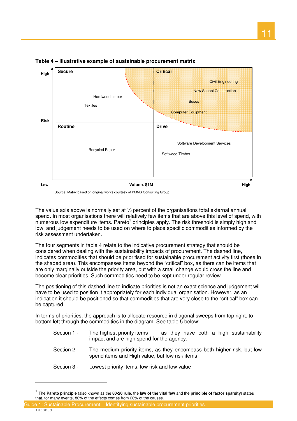

 **Table 4 – Illustrative example of sustainable procurement matrix** 

Source: Matrix based on original works courtesy of PMMS Consulting Group

 The value axis above is normally set at ½ percent of the organisations total external annual spend. In most organisations there will relatively few items that are above this level of spend, with numerous low expenditure items. Pareto<sup>1</sup> principles apply. The risk threshold is simply high and low, and judgement needs to be used on where to place specific commodities informed by the risk assessment undertaken.

 The four segments in table 4 relate to the indicative procurement strategy that should be considered when dealing with the sustainability impacts of procurement. The dashed line, indicates commodities that should be prioritised for sustainable procurement activity first (those in the shaded area). This encompasses items beyond the "critical" box, as there can be items that are only marginally outside the priority area, but with a small change would cross the line and become clear priorities. Such commodities need to be kept under regular review.

 The positioning of this dashed line to indicate priorities is not an exact science and judgement will have to be used to position it appropriately for each individual organisation. However, as an indication it should be positioned so that commodities that are very close to the "critical" box can be captured.

 In terms of priorities, the approach is to allocate resource in diagonal sweeps from top right, to bottom left through the commodities in the diagram. See table 5 below:

- Section 1 impact and are high spend for the agency. The highest priority items both a high sustainability
- Section 2 spend items and High value, but low risk items The medium priority items, as they encompas s bot h higher risk, but low
- Section 3 Lowest priority items, low risk and low value

 – Guide 1: Sustainable Procurement Identifying sustainable procurement priorities 1038809 Ξ

 $\overline{a}$ 

 1 The **Pareto principle** (also known as the **80-20 rule**, the **law of the vital few** and the **principle of factor sparsity**) states that, for many events, 80% of the effects comes from 20% of the causes.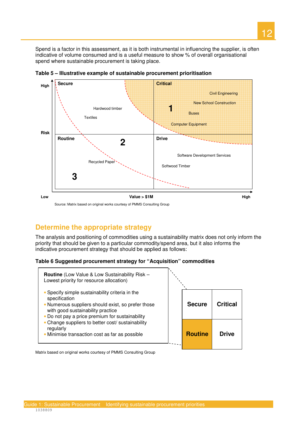Spend is a factor in this assessment, as it is both instrumental in influencing the supplier, is often indicative of volume consumed and is a useful measure to show % of overall organisational spend where sustainable procurement is taking place.



 **Table 5 – Illustrative example of sustainable procurement prioritisation** 

## **Determine the appropriate strategy**

 The analysis and positioning of commodities using a sustainability matrix does not only inform the priority that should be given to a particular commodity/spend area, but it also informs the indicative procurement strategy that should be applied as follows:

#### **Table 6 Suggested procurement strategy for "Acquisition" commodities**



Matrix based on original works courtesy of PMMS Consulting Group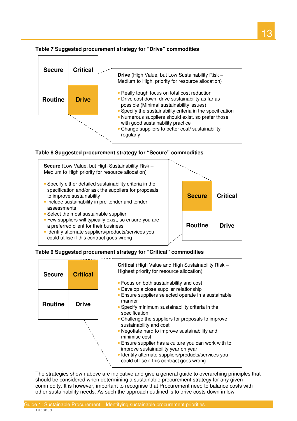



 **Table 8 Suggested procurement strategy for "Secure" commodities** 



could utilise if this contract goes wrong



## **Table 9 Suggested procurement strategy for "Critical" commodities**

| <b>Secure</b>  | <b>Critical</b> | <b>Critical</b> (High Value and High Sustainability Risk -<br>Highest priority for resource allocation)<br>• Focus on both sustainability and cost<br>• Develop a close supplier relationship                                                                                                  |
|----------------|-----------------|------------------------------------------------------------------------------------------------------------------------------------------------------------------------------------------------------------------------------------------------------------------------------------------------|
| <b>Routine</b> | <b>Drive</b>    | • Ensure suppliers selected operate in a sustainable<br>manner<br>• Specify minimum sustainability criteria in the<br>specification<br>• Challenge the suppliers for proposals to improve                                                                                                      |
|                |                 | sustainability and cost<br>• Negotiate hard to improve sustainability and<br>minimise cost<br>• Ensure supplier has a culture you can work with to<br>improve sustainability year on year<br>· Identify alternate suppliers/products/services you<br>could utilise if this contract goes wrong |

 The strategies shown above are indicative and give a general guide to overarching principles that should be considered when determining a sustainable procurement strategy for any given commodity. It is however, important to recognise that Procurement need to balance costs with other sustainability needs. As such the approach outlined is to drive costs down in low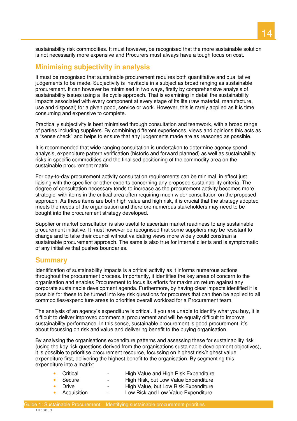sustainability risk commodities. It must however, be recognised that the more sustainable solution is not necessarily more expensive and Procurers must always have a tough focus on cost.

## **Minimising subjectivity in analysis**

 It must be recognised that sustainable procurement requires both quantitative and qualitative judgements to be made. Subjectivity is inevitable in a subject as broad ranging as sustainable procurement. It can however be minimised in two ways, firstly by comprehensive analysis of sustainability issues using a life cycle approach. That is examining in detail the sustainability impacts associated with every component at every stage of its life (raw material, manufacture, use and disposal) for a given good, service or work. However, this is rarely applied as it is time consuming and expensive to complete.

 Practically subjectivity is best minimised through consultation and teamwork, with a broad range of parties including suppliers. By combining different experiences, views and opinions this acts as a "sense check" and helps to ensure that any judgements made are as reasoned as possible.

 It is recommended that wide ranging consultation is undertaken to determine agency spend analysis, expenditure pattern verification (historic and forward planned) as well as sustainability risks in specific commodities and the finalised positioning of the commodity area on the sustainable procurement matrix.

 For day-to-day procurement activity consultation requirements can be minimal, in effect just liaising with the specifier or other experts concerning any proposed sustainability criteria. The degree of consultation necessary tends to increase as the procurement activity becomes more strategic, with items in the critical area often requiring much wider consultation on the proposed approach. As these items are both high value and high risk, it is crucial that the strategy adopted meets the needs of the organisation and therefore numerous stakeholders may need to be bought into the procurement strategy developed.

 Supplier or market consultation is also useful to ascertain market readiness to any sustainable procurement initiative. It must however be recognised that some suppliers may be resistant to change and to take their council without validating views more widely could constrain a sustainable procurement approach. The same is also true for internal clients and is symptomatic of any initiative that pushes boundaries.

## **Summary**

 Identification of sustainability impacts is a critical activity as it informs numerous actions throughout the procurement process. Importantly, it identifies the key areas of concern to the organisation and enables Procurement to focus its efforts for maximum return against any corporate sustainable development agenda. Furthermore, by having clear impacts identified it is possible for these to be turned into key risk questions for procurers that can then be applied to all commodities/expenditure areas to prioritise overall workload for a Procurement team.

 The analysis of an agency's expenditure is critical. If you are unable to identify what you buy, it is difficult to deliver improved commercial procurement and will be equally difficult to improve sustainability performance. In this sense, sustainable procurement is good procurement, it's about focussing on risk and value and delivering benefit to the buying organisation.

 By analysing the organisations expenditure patterns and assessing these for sustainability risk (using the key risk questions derived from the organisations sustainable development objectives), it is possible to prioritise procurement resource, focussing on highest risk/highest value expenditure first, delivering the highest benefit to the organisation. By segmenting this expenditure into a matrix:

| Critical    | -      | High Value and High Risk Expenditure |
|-------------|--------|--------------------------------------|
| Secure      | -      | High Risk, but Low Value Expenditure |
| Drive       | -      | High Value, but Low Risk Expenditure |
| Acquisition | $\sim$ | Low Risk and Low Value Expenditure   |